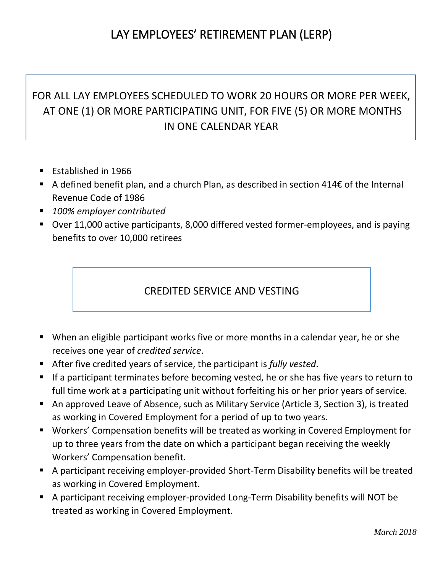# LAY EMPLOYEES' RETIREMENT PLAN (LERP)

# FOR ALL LAY EMPLOYEES SCHEDULED TO WORK 20 HOURS OR MORE PER WEEK, AT ONE (1) OR MORE PARTICIPATING UNIT, FOR FIVE (5) OR MORE MONTHS IN ONE CALENDAR YEAR

- Established in 1966
- A defined benefit plan, and a church Plan, as described in section 414€ of the Internal Revenue Code of 1986
- *100% employer contributed*
- Over 11,000 active participants, 8,000 differed vested former-employees, and is paying benefits to over 10,000 retirees

### CREDITED SERVICE AND VESTING

- When an eligible participant works five or more months in a calendar year, he or she receives one year of *credited service*.
- After five credited years of service, the participant is *fully vested*.
- If a participant terminates before becoming vested, he or she has five years to return to full time work at a participating unit without forfeiting his or her prior years of service.
- An approved Leave of Absence, such as Military Service (Article 3, Section 3), is treated as working in Covered Employment for a period of up to two years.
- Workers' Compensation benefits will be treated as working in Covered Employment for up to three years from the date on which a participant began receiving the weekly Workers' Compensation benefit.
- A participant receiving employer-provided Short-Term Disability benefits will be treated as working in Covered Employment.
- A participant receiving employer-provided Long-Term Disability benefits will NOT be treated as working in Covered Employment.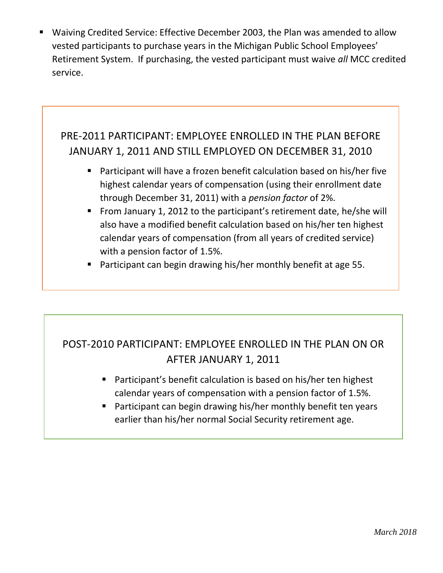■ Waiving Credited Service: Effective December 2003, the Plan was amended to allow vested participants to purchase years in the Michigan Public School Employees' Retirement System. If purchasing, the vested participant must waive *all* MCC credited service.

# PRE-2011 PARTICIPANT: EMPLOYEE ENROLLED IN THE PLAN BEFORE JANUARY 1, 2011 AND STILL EMPLOYED ON DECEMBER 31, 2010

- Participant will have a frozen benefit calculation based on his/her five highest calendar years of compensation (using their enrollment date through December 31, 2011) with a *pension factor* of 2%.
- From January 1, 2012 to the participant's retirement date, he/she will also have a modified benefit calculation based on his/her ten highest calendar years of compensation (from all years of credited service) with a pension factor of 1.5%.
- Participant can begin drawing his/her monthly benefit at age 55.

# POST-2010 PARTICIPANT: EMPLOYEE ENROLLED IN THE PLAN ON OR AFTER JANUARY 1, 2011

- Participant's benefit calculation is based on his/her ten highest calendar years of compensation with a pension factor of 1.5%.
- Participant can begin drawing his/her monthly benefit ten years earlier than his/her normal Social Security retirement age.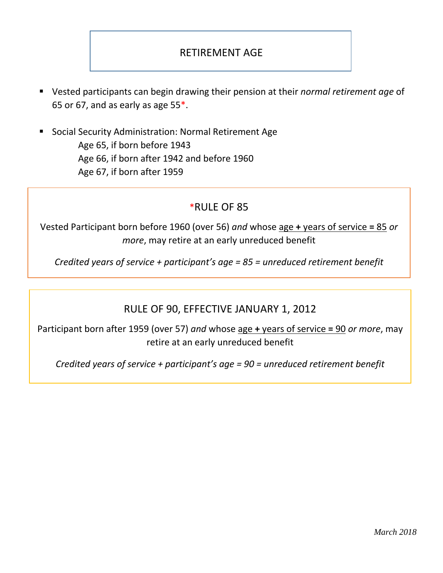## RETIREMENT AGE

- Vested participants can begin drawing their pension at their *normal retirement age* of 65 or 67, and as early as age 55\*.
- Social Security Administration: Normal Retirement Age Age 65, if born before 1943 Age 66, if born after 1942 and before 1960 Age 67, if born after 1959

#### \*RULE OF 85

Vested Participant born before 1960 (over 56) *and* whose age **+** years of service **=** 85 *or more*, may retire at an early unreduced benefit

*Credited years of service + participant's age = 85 = unreduced retirement benefit*

#### RULE OF 90, EFFECTIVE JANUARY 1, 2012

Participant born after 1959 (over 57) *and* whose age **+** years of service **=** 90 *or more*, may retire at an early unreduced benefit

*Credited years of service + participant's age = 90 = unreduced retirement benefit*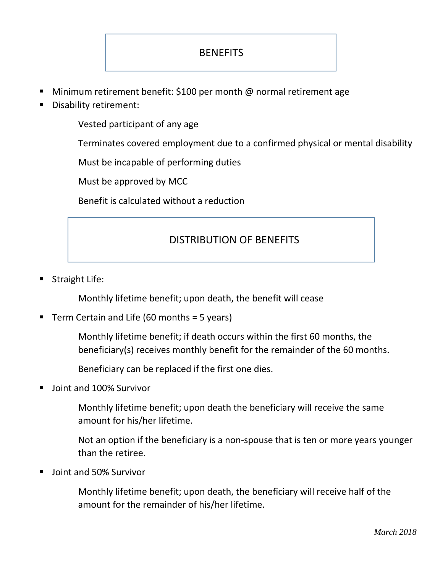## **BENEFITS**

- Minimum retirement benefit: \$100 per month @ normal retirement age
- Disability retirement:

Vested participant of any age

Terminates covered employment due to a confirmed physical or mental disability

Must be incapable of performing duties

Must be approved by MCC

Benefit is calculated without a reduction

#### DISTRIBUTION OF BENEFITS

Straight Life:

Monthly lifetime benefit; upon death, the benefit will cease

Term Certain and Life (60 months  $=$  5 years)

Monthly lifetime benefit; if death occurs within the first 60 months, the beneficiary(s) receives monthly benefit for the remainder of the 60 months.

Beneficiary can be replaced if the first one dies.

Joint and 100% Survivor

Monthly lifetime benefit; upon death the beneficiary will receive the same amount for his/her lifetime.

Not an option if the beneficiary is a non-spouse that is ten or more years younger than the retiree.

Joint and 50% Survivor

Monthly lifetime benefit; upon death, the beneficiary will receive half of the amount for the remainder of his/her lifetime.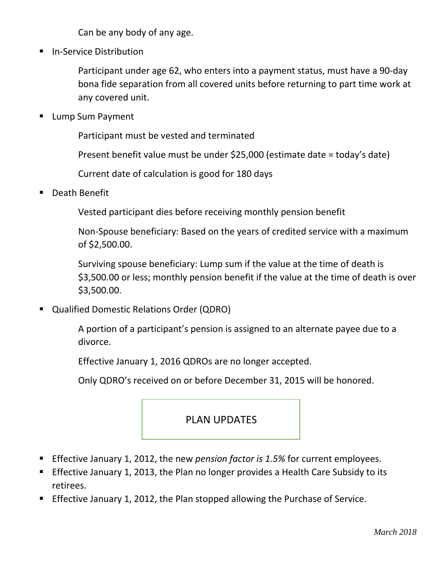Can be any body of any age.

**In-Service Distribution** 

Participant under age 62, who enters into a payment status, must have a 90-day bona fide separation from all covered units before returning to part time work at any covered unit.

**Lump Sum Payment** 

Participant must be vested and terminated

Present benefit value must be under \$25,000 (estimate date = today's date)

Current date of calculation is good for 180 days

Death Benefit

Vested participant dies before receiving monthly pension benefit

Non-Spouse beneficiary: Based on the years of credited service with a maximum of \$2,500.00.

Surviving spouse beneficiary: Lump sum if the value at the time of death is \$3,500.00 or less; monthly pension benefit if the value at the time of death is over \$3,500.00.

Qualified Domestic Relations Order (QDRO)

A portion of a participant's pension is assigned to an alternate payee due to a divorce.

Effective January 1, 2016 QDROs are no longer accepted.

Only QDRO's received on or before December 31, 2015 will be honored.

#### PLAN UPDATES

- Effective January 1, 2012, the new *pension factor is 1.5%* for current employees.
- **Effective January 1, 2013, the Plan no longer provides a Health Care Subsidy to its** retirees.
- Effective January 1, 2012, the Plan stopped allowing the Purchase of Service.